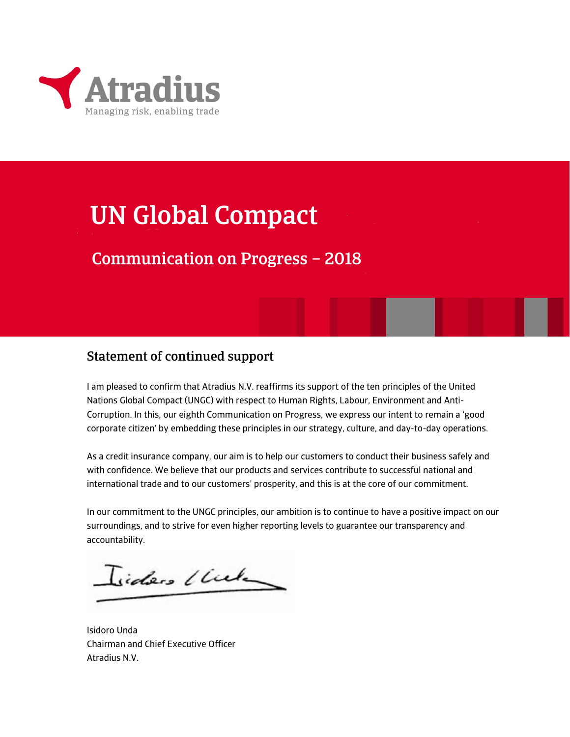

## UN Global Compact

## Communication on Progress – 2018

### Statement of continued support

I am pleased to confirm that Atradius N.V. reaffirms its support of the ten principles of the United Nations Global Compact (UNGC) with respect to Human Rights, Labour, Environment and Anti-Corruption. In this, our eighth Communication on Progress, we express our intent to remain a 'good corporate citizen' by embedding these principles in our strategy, culture, and day-to-day operations.

As a credit insurance company, our aim is to help our customers to conduct their business safely and with confidence. We believe that our products and services contribute to successful national and international trade and to our customers' prosperity, and this is at the core of our commitment.

In our commitment to the UNGC principles, our ambition is to continue to have a positive impact on our surroundings, and to strive for even higher reporting levels to guarantee our transparency and accountability.

Isiders Under

Isidoro Unda Chairman and Chief Executive Officer Atradius N.V.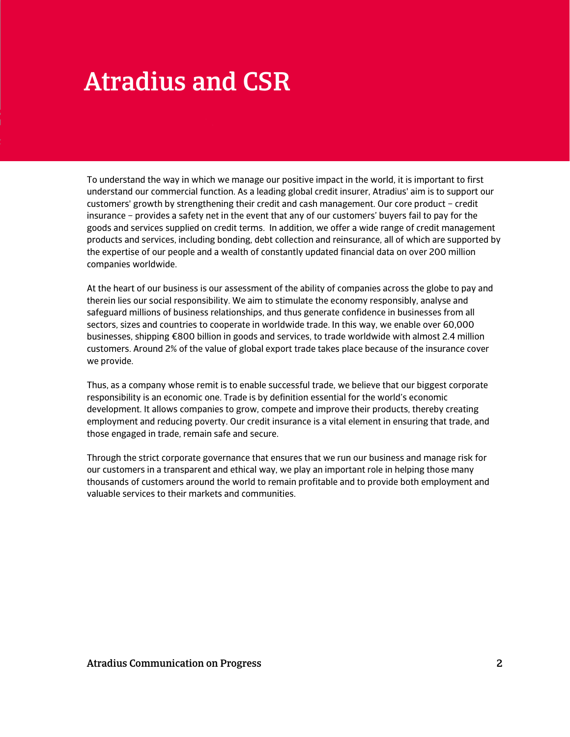# Atradius and CSR

To understand the way in which we manage our positive impact in the world, it is important to first understand our commercial function. As a leading global credit insurer, Atradius' aim is to support our customers' growth by strengthening their credit and cash management. Our core product – credit insurance – provides a safety net in the event that any of our customers' buyers fail to pay for the goods and services supplied on credit terms. In addition, we offer a wide range of credit management products and services, including bonding, debt collection and reinsurance, all of which are supported by the expertise of our people and a wealth of constantly updated financial data on over 200 million companies worldwide.

At the heart of our business is our assessment of the ability of companies across the globe to pay and therein lies our social responsibility. We aim to stimulate the economy responsibly, analyse and safeguard millions of business relationships, and thus generate confidence in businesses from all sectors, sizes and countries to cooperate in worldwide trade. In this way, we enable over 60,000 businesses, shipping €800 billion in goods and services, to trade worldwide with almost 2.4 million customers. Around 2% of the value of global export trade takes place because of the insurance cover we provide.

Thus, as a company whose remit is to enable successful trade, we believe that our biggest corporate responsibility is an economic one. Trade is by definition essential for the world's economic development. It allows companies to grow, compete and improve their products, thereby creating employment and reducing poverty. Our credit insurance is a vital element in ensuring that trade, and those engaged in trade, remain safe and secure.

Through the strict corporate governance that ensures that we run our business and manage risk for our customers in a transparent and ethical way, we play an important role in helping those many thousands of customers around the world to remain profitable and to provide both employment and valuable services to their markets and communities.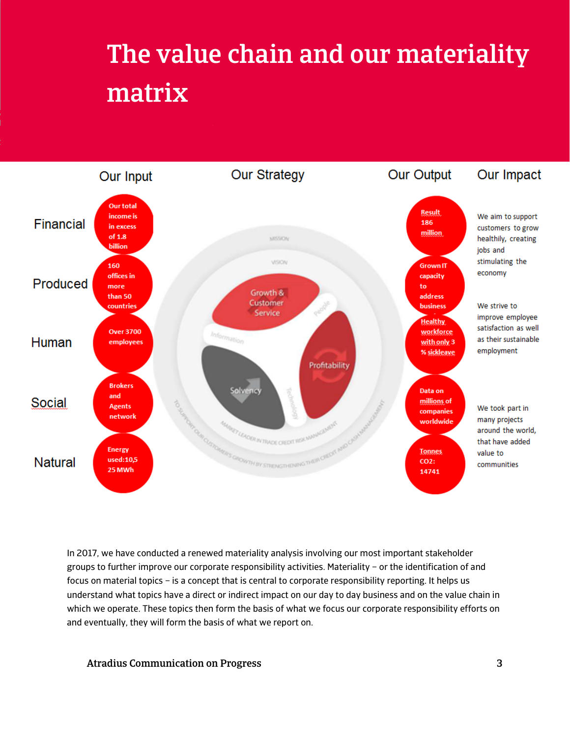# The value chain and our materiality matrix



In 2017, we have conducted a renewed materiality analysis involving our most important stakeholder groups to further improve our corporate responsibility activities. Materiality – or the identification of and focus on material topics – is a concept that is central to corporate responsibility reporting. It helps us understand what topics have a direct or indirect impact on our day to day business and on the value chain in which we operate. These topics then form the basis of what we focus our corporate responsibility efforts on and eventually, they will form the basis of what we report on.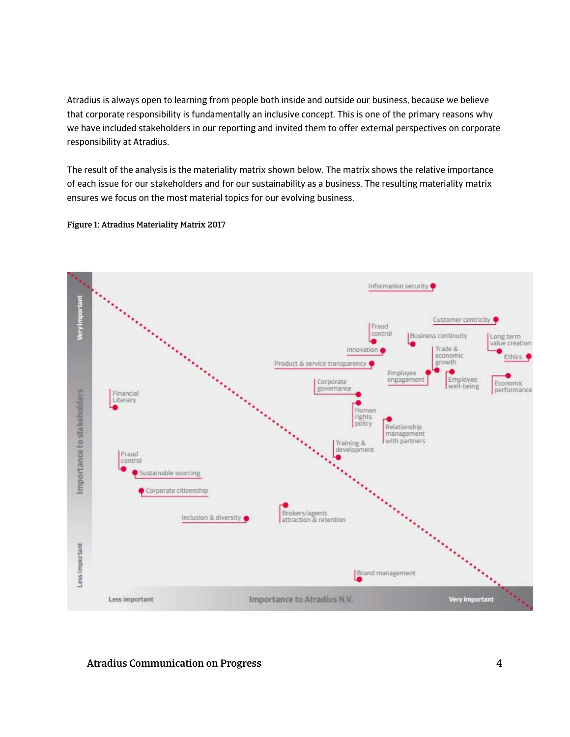Atradius is always open to learning from people both inside and outside our business, because we believe that corporate responsibility is fundamentally an inclusive concept. This is one of the primary reasons why we have included stakeholders in our reporting and invited them to offer external perspectives on corporate responsibility at Atradius.

The result of the analysis is the materiality matrix shown below. The matrix shows the relative importance of each issue for our stakeholders and for our sustainability as a business. The resulting materiality matrix ensures we focus on the most material topics for our evolving business.

Figure 1: Atradius Materiality Matrix 2017

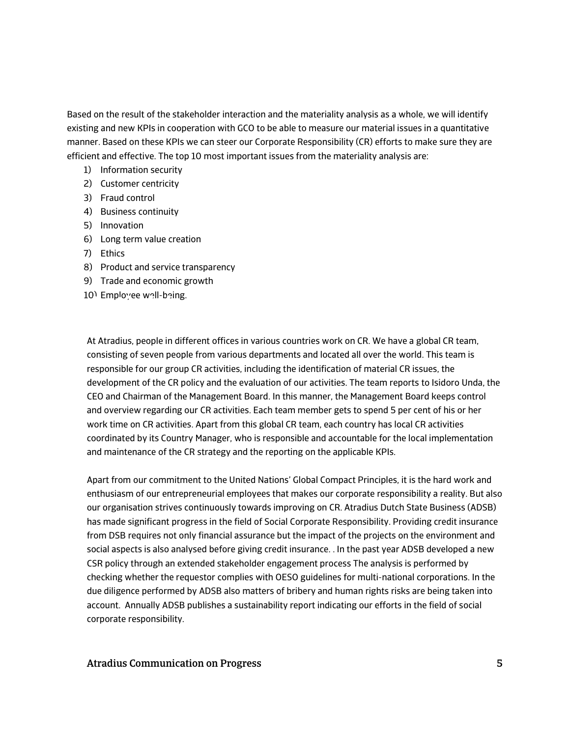Based on the result of the stakeholder interaction and the materiality analysis as a whole, we will identify existing and new KPIs in cooperation with GCO to be able to measure our material issues in a quantitative manner. Based on these KPIs we can steer our Corporate Responsibility (CR) efforts to make sure they are efficient and effective. The top 10 most important issues from the materiality analysis are:

- 1) Information security
- 2) Customer centricity
- 3) Fraud control
- 4) Business continuity
- 5) Innovation
- 6) Long term value creation
- 7) Ethics
- 8) Product and service transparency
- 9) Trade and economic growth
- 10) Employee well-being. Activities across the Atrace across the Atrace across the Atrace across the Atrace across the Atrace across the Atrace across the Atrace across the Atrace across the Atrace across the Atrace across the Atrace across the A

At Atradius, people in different offices in various countries work on CR. We have a global CR team, consisting of seven people from various departments and located all over the world. This team is responsible for our group CR activities, including the identification of material CR issues, the development of the CR policy and the evaluation of our activities. The team reports to Isidoro Unda, the CEO and Chairman of the Management Board. In this manner, the Management Board keeps control and overview regarding our CR activities. Each team member gets to spend 5 per cent of his or her work time on CR activities. Apart from this global CR team, each country has local CR activities coordinated by its Country Manager, who is responsible and accountable for the local implementation and maintenance of the CR strategy and the reporting on the applicable KPIs.

Apart from our commitment to the United Nations' Global Compact Principles, it is the hard work and enthusiasm of our entrepreneurial employees that makes our corporate responsibility a reality. But also our organisation strives continuously towards improving on CR. Atradius Dutch State Business (ADSB) has made significant progress in the field of Social Corporate Responsibility. Providing credit insurance from DSB requires not only financial assurance but the impact of the projects on the environment and social aspects is also analysed before giving credit insurance. . In the past year ADSB developed a new CSR policy through an extended stakeholder engagement process The analysis is performed by checking whether the requestor complies with OESO guidelines for multi-national corporations. In the due diligence performed by ADSB also matters of bribery and human rights risks are being taken into account. Annually ADSB publishes a sustainability report indicating our efforts in the field of social corporate responsibility.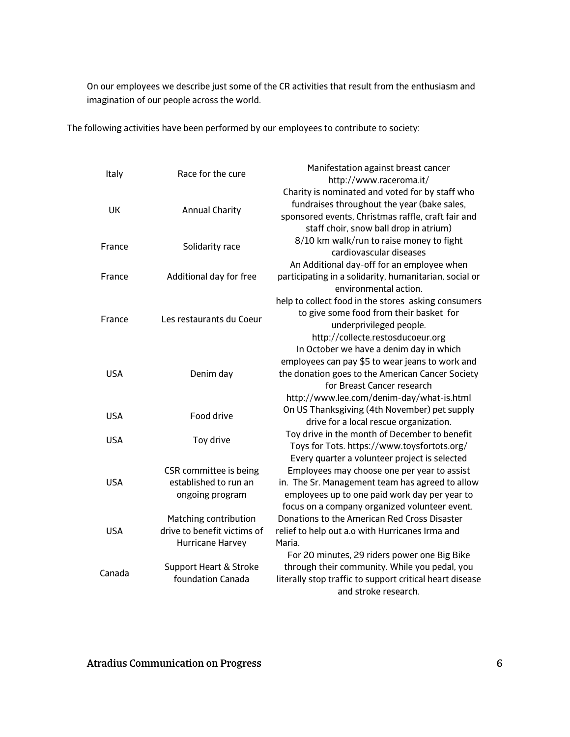On our employees we describe just some of the CR activities that result from the enthusiasm and imagination of our people across the world.

The following activities have been performed by our employees to contribute to society:

|            | Race for the cure                 | Manifestation against breast cancer                      |
|------------|-----------------------------------|----------------------------------------------------------|
| Italy      |                                   | http://www.raceroma.it/                                  |
|            |                                   | Charity is nominated and voted for by staff who          |
| UK         |                                   | fundraises throughout the year (bake sales,              |
|            | <b>Annual Charity</b>             | sponsored events, Christmas raffle, craft fair and       |
|            |                                   | staff choir, snow ball drop in atrium)                   |
|            |                                   | 8/10 km walk/run to raise money to fight                 |
| France     | Solidarity race                   | cardiovascular diseases                                  |
|            |                                   | An Additional day-off for an employee when               |
| France     | Additional day for free           | participating in a solidarity, humanitarian, social or   |
|            |                                   | environmental action.                                    |
|            |                                   | help to collect food in the stores asking consumers      |
|            |                                   | to give some food from their basket for                  |
| France     | Les restaurants du Coeur          | underprivileged people.                                  |
|            |                                   | http://collecte.restosducoeur.org                        |
|            | Denim day                         | In October we have a denim day in which                  |
|            |                                   | employees can pay \$5 to wear jeans to work and          |
| <b>USA</b> |                                   | the donation goes to the American Cancer Society         |
|            |                                   | for Breast Cancer research                               |
|            |                                   | http://www.lee.com/denim-day/what-is.html                |
|            |                                   | On US Thanksgiving (4th November) pet supply             |
| <b>USA</b> | Food drive                        | drive for a local rescue organization.                   |
|            |                                   | Toy drive in the month of December to benefit            |
| <b>USA</b> | Toy drive                         | Toys for Tots. https://www.toysfortots.org/              |
|            |                                   | Every quarter a volunteer project is selected            |
|            | CSR committee is being            | Employees may choose one per year to assist              |
| <b>USA</b> | established to run an             | in. The Sr. Management team has agreed to allow          |
|            | ongoing program                   | employees up to one paid work day per year to            |
|            |                                   | focus on a company organized volunteer event.            |
| <b>USA</b> | Matching contribution             | Donations to the American Red Cross Disaster             |
|            | drive to benefit victims of       | relief to help out a.o with Hurricanes Irma and          |
|            | Hurricane Harvey                  | Maria.                                                   |
|            |                                   | For 20 minutes, 29 riders power one Big Bike             |
| Canada     | <b>Support Heart &amp; Stroke</b> | through their community. While you pedal, you            |
|            | foundation Canada                 | literally stop traffic to support critical heart disease |
|            |                                   | and stroke research.                                     |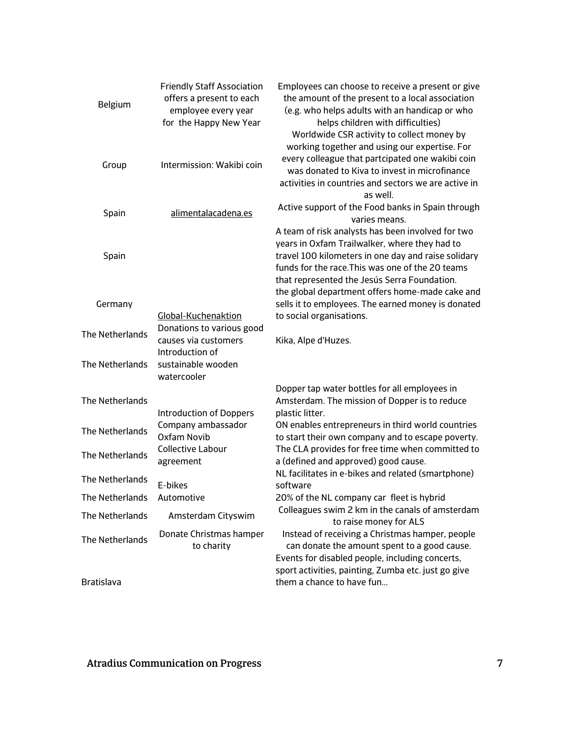| Belgium           | <b>Friendly Staff Association</b><br>offers a present to each<br>employee every year<br>for the Happy New Year | Employees can choose to receive a present or give<br>the amount of the present to a local association<br>(e.g. who helps adults with an handicap or who<br>helps children with difficulties)<br>Worldwide CSR activity to collect money by                    |
|-------------------|----------------------------------------------------------------------------------------------------------------|---------------------------------------------------------------------------------------------------------------------------------------------------------------------------------------------------------------------------------------------------------------|
| Group             | Intermission: Wakibi coin                                                                                      | working together and using our expertise. For<br>every colleague that partcipated one wakibi coin<br>was donated to Kiva to invest in microfinance<br>activities in countries and sectors we are active in<br>as well.                                        |
| Spain             | alimentalacadena.es                                                                                            | Active support of the Food banks in Spain through<br>varies means.                                                                                                                                                                                            |
| Spain             |                                                                                                                | A team of risk analysts has been involved for two<br>years in Oxfam Trailwalker, where they had to<br>travel 100 kilometers in one day and raise solidary<br>funds for the race. This was one of the 20 teams<br>that represented the Jesús Serra Foundation. |
| Germany           | Global-Kuchenaktion                                                                                            | the global department offers home-made cake and<br>sells it to employees. The earned money is donated<br>to social organisations.                                                                                                                             |
| The Netherlands   | Donations to various good<br>causes via customers<br>Introduction of                                           | Kika, Alpe d'Huzes.                                                                                                                                                                                                                                           |
| The Netherlands   | sustainable wooden<br>watercooler                                                                              |                                                                                                                                                                                                                                                               |
| The Netherlands   | <b>Introduction of Doppers</b>                                                                                 | Dopper tap water bottles for all employees in<br>Amsterdam. The mission of Dopper is to reduce<br>plastic litter.                                                                                                                                             |
| The Netherlands   | Company ambassador<br>Oxfam Novib                                                                              | ON enables entrepreneurs in third world countries<br>to start their own company and to escape poverty.                                                                                                                                                        |
| The Netherlands   | <b>Collective Labour</b><br>agreement                                                                          | The CLA provides for free time when committed to<br>a (defined and approved) good cause.                                                                                                                                                                      |
| The Netherlands   | E-bikes                                                                                                        | NL facilitates in e-bikes and related (smartphone)<br>software                                                                                                                                                                                                |
| The Netherlands   | Automotive                                                                                                     | 20% of the NL company car fleet is hybrid                                                                                                                                                                                                                     |
| The Netherlands   | Amsterdam Cityswim                                                                                             | Colleagues swim 2 km in the canals of amsterdam<br>to raise money for ALS                                                                                                                                                                                     |
| The Netherlands   | Donate Christmas hamper<br>to charity                                                                          | Instead of receiving a Christmas hamper, people<br>can donate the amount spent to a good cause.<br>Events for disabled people, including concerts,                                                                                                            |
| <b>Bratislava</b> |                                                                                                                | sport activities, painting, Zumba etc. just go give<br>them a chance to have fun                                                                                                                                                                              |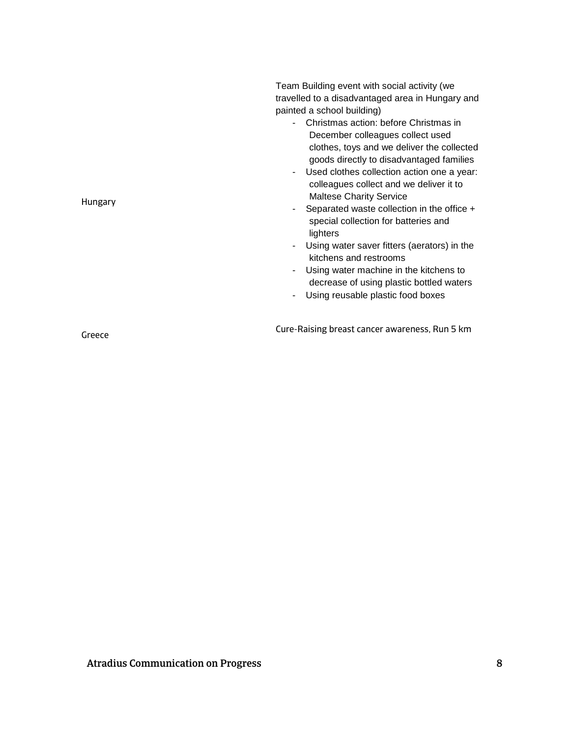| Hungary | Team Building event with social activity (we<br>travelled to a disadvantaged area in Hungary and<br>painted a school building)<br>- Christmas action: before Christmas in<br>December colleagues collect used<br>clothes, toys and we deliver the collected<br>goods directly to disadvantaged families<br>Used clothes collection action one a year:<br>colleagues collect and we deliver it to<br><b>Maltese Charity Service</b><br>Separated waste collection in the office +<br>special collection for batteries and<br>lighters<br>Using water saver fitters (aerators) in the<br>kitchens and restrooms<br>Using water machine in the kitchens to<br>decrease of using plastic bottled waters<br>Using reusable plastic food boxes |
|---------|------------------------------------------------------------------------------------------------------------------------------------------------------------------------------------------------------------------------------------------------------------------------------------------------------------------------------------------------------------------------------------------------------------------------------------------------------------------------------------------------------------------------------------------------------------------------------------------------------------------------------------------------------------------------------------------------------------------------------------------|
| Greece  | Cure-Raising breast cancer awareness, Run 5 km                                                                                                                                                                                                                                                                                                                                                                                                                                                                                                                                                                                                                                                                                           |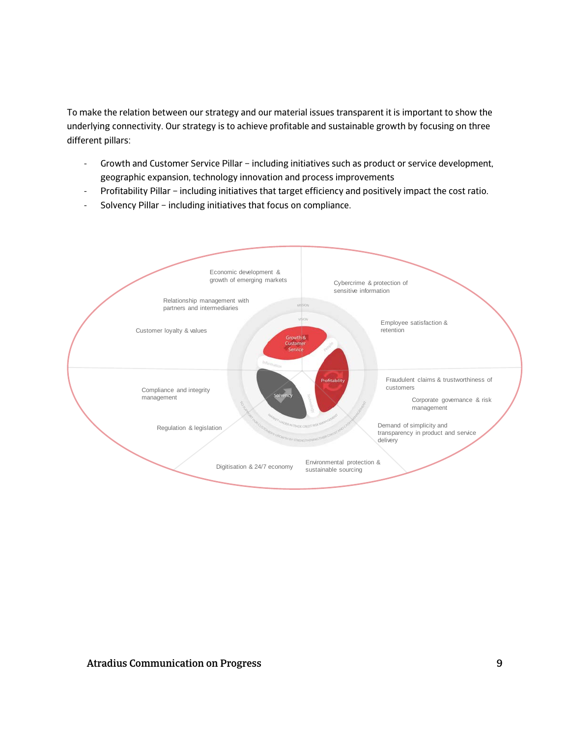To make the relation between our strategy and our material issues transparent it is important to show the underlying connectivity. Our strategy is to achieve profitable and sustainable growth by focusing on three different pillars:

- Growth and Customer Service Pillar including initiatives such as product or service development, geographic expansion, technology innovation and process improvements
- Profitability Pillar including initiatives that target efficiency and positively impact the cost ratio.
- Solvency Pillar including initiatives that focus on compliance.

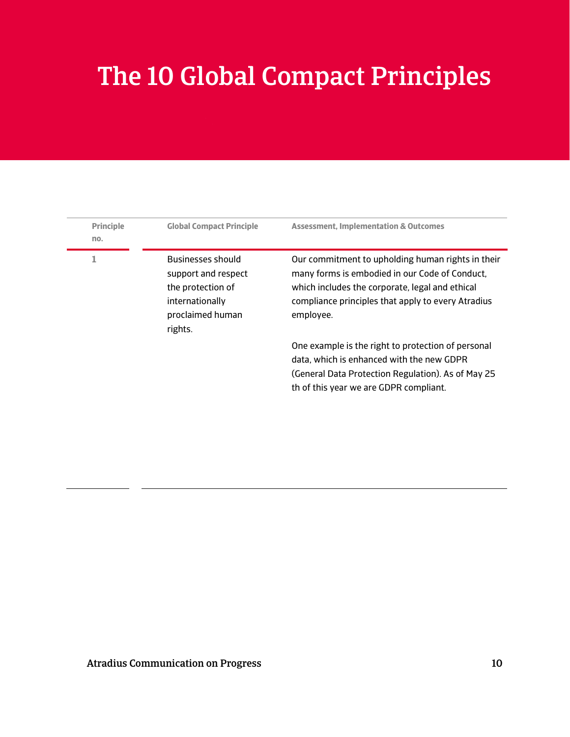# The 10 Global Compact Principles

| <b>Principle</b><br>no. | <b>Global Compact Principle</b>                                                                                        | <b>Assessment, Implementation &amp; Outcomes</b>                                                                                                                                                                          |
|-------------------------|------------------------------------------------------------------------------------------------------------------------|---------------------------------------------------------------------------------------------------------------------------------------------------------------------------------------------------------------------------|
| 1                       | <b>Businesses should</b><br>support and respect<br>the protection of<br>internationally<br>proclaimed human<br>rights. | Our commitment to upholding human rights in their<br>many forms is embodied in our Code of Conduct,<br>which includes the corporate, legal and ethical<br>compliance principles that apply to every Atradius<br>employee. |
|                         |                                                                                                                        | One example is the right to protection of personal<br>data, which is enhanced with the new GDPR<br>(General Data Protection Regulation). As of May 25<br>th of this year we are GDPR compliant.                           |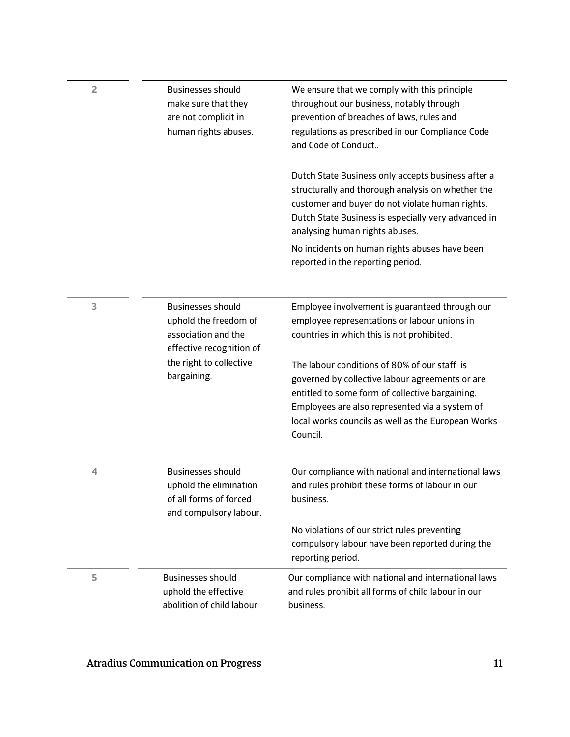| $\overline{2}$ | <b>Businesses should</b><br>make sure that they<br>are not complicit in<br>human rights abuses.        | We ensure that we comply with this principle<br>throughout our business, notably through<br>prevention of breaches of laws, rules and<br>regulations as prescribed in our Compliance Code<br>and Code of Conduct                                                       |
|----------------|--------------------------------------------------------------------------------------------------------|------------------------------------------------------------------------------------------------------------------------------------------------------------------------------------------------------------------------------------------------------------------------|
|                |                                                                                                        | Dutch State Business only accepts business after a<br>structurally and thorough analysis on whether the<br>customer and buyer do not violate human rights.<br>Dutch State Business is especially very advanced in<br>analysing human rights abuses.                    |
|                |                                                                                                        | No incidents on human rights abuses have been<br>reported in the reporting period.                                                                                                                                                                                     |
| 3              | <b>Businesses should</b><br>uphold the freedom of<br>association and the<br>effective recognition of   | Employee involvement is guaranteed through our<br>employee representations or labour unions in<br>countries in which this is not prohibited.                                                                                                                           |
|                | the right to collective<br>bargaining.                                                                 | The labour conditions of 80% of our staff is<br>governed by collective labour agreements or are<br>entitled to some form of collective bargaining.<br>Employees are also represented via a system of<br>local works councils as well as the European Works<br>Council. |
| 4              | <b>Businesses should</b><br>uphold the elimination<br>of all forms of forced<br>and compulsory labour. | Our compliance with national and international laws<br>and rules prohibit these forms of labour in our<br>business.                                                                                                                                                    |
|                |                                                                                                        | No violations of our strict rules preventing<br>compulsory labour have been reported during the<br>reporting period.                                                                                                                                                   |
| 5              | <b>Businesses should</b><br>uphold the effective<br>abolition of child labour                          | Our compliance with national and international laws<br>and rules prohibit all forms of child labour in our<br>business.                                                                                                                                                |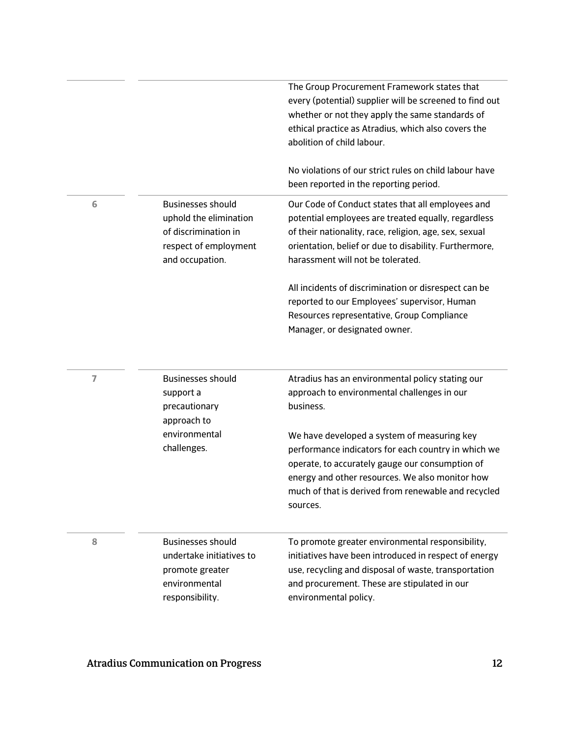|                |                                                                                                                        | The Group Procurement Framework states that<br>every (potential) supplier will be screened to find out<br>whether or not they apply the same standards of<br>ethical practice as Atradius, which also covers the<br>abolition of child labour.                              |
|----------------|------------------------------------------------------------------------------------------------------------------------|-----------------------------------------------------------------------------------------------------------------------------------------------------------------------------------------------------------------------------------------------------------------------------|
|                |                                                                                                                        | No violations of our strict rules on child labour have<br>been reported in the reporting period.                                                                                                                                                                            |
| 6              | <b>Businesses should</b><br>uphold the elimination<br>of discrimination in<br>respect of employment<br>and occupation. | Our Code of Conduct states that all employees and<br>potential employees are treated equally, regardless<br>of their nationality, race, religion, age, sex, sexual<br>orientation, belief or due to disability. Furthermore,<br>harassment will not be tolerated.           |
|                |                                                                                                                        | All incidents of discrimination or disrespect can be<br>reported to our Employees' supervisor, Human<br>Resources representative, Group Compliance<br>Manager, or designated owner.                                                                                         |
| $\overline{7}$ | <b>Businesses should</b><br>support a<br>precautionary<br>approach to                                                  | Atradius has an environmental policy stating our<br>approach to environmental challenges in our<br>business.                                                                                                                                                                |
|                | environmental<br>challenges.                                                                                           | We have developed a system of measuring key<br>performance indicators for each country in which we<br>operate, to accurately gauge our consumption of<br>energy and other resources. We also monitor how<br>much of that is derived from renewable and recycled<br>sources. |
| 8              | <b>Businesses should</b><br>undertake initiatives to<br>promote greater<br>environmental<br>responsibility.            | To promote greater environmental responsibility,<br>initiatives have been introduced in respect of energy<br>use, recycling and disposal of waste, transportation<br>and procurement. These are stipulated in our<br>environmental policy.                                  |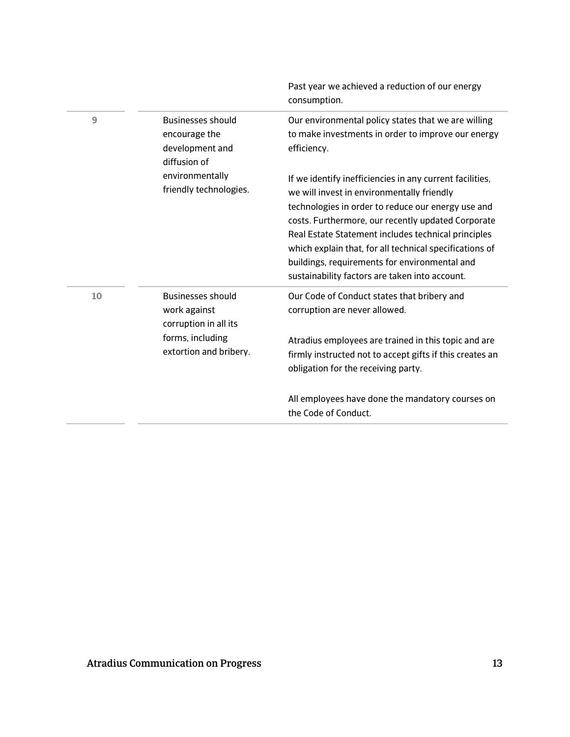|    |                                                                              | Past year we achieved a reduction of our energy<br>consumption.                                                                                                                                                                                                                                                                                                                                                                         |
|----|------------------------------------------------------------------------------|-----------------------------------------------------------------------------------------------------------------------------------------------------------------------------------------------------------------------------------------------------------------------------------------------------------------------------------------------------------------------------------------------------------------------------------------|
| 9  | <b>Businesses should</b><br>encourage the<br>development and<br>diffusion of | Our environmental policy states that we are willing<br>to make investments in order to improve our energy<br>efficiency.                                                                                                                                                                                                                                                                                                                |
|    | environmentally<br>friendly technologies.                                    | If we identify inefficiencies in any current facilities,<br>we will invest in environmentally friendly<br>technologies in order to reduce our energy use and<br>costs. Furthermore, our recently updated Corporate<br>Real Estate Statement includes technical principles<br>which explain that, for all technical specifications of<br>buildings, requirements for environmental and<br>sustainability factors are taken into account. |
| 10 | <b>Businesses should</b><br>work against<br>corruption in all its            | Our Code of Conduct states that bribery and<br>corruption are never allowed.                                                                                                                                                                                                                                                                                                                                                            |
|    | forms, including<br>extortion and bribery.                                   | Atradius employees are trained in this topic and are<br>firmly instructed not to accept gifts if this creates an<br>obligation for the receiving party.                                                                                                                                                                                                                                                                                 |
|    |                                                                              | All employees have done the mandatory courses on<br>the Code of Conduct.                                                                                                                                                                                                                                                                                                                                                                |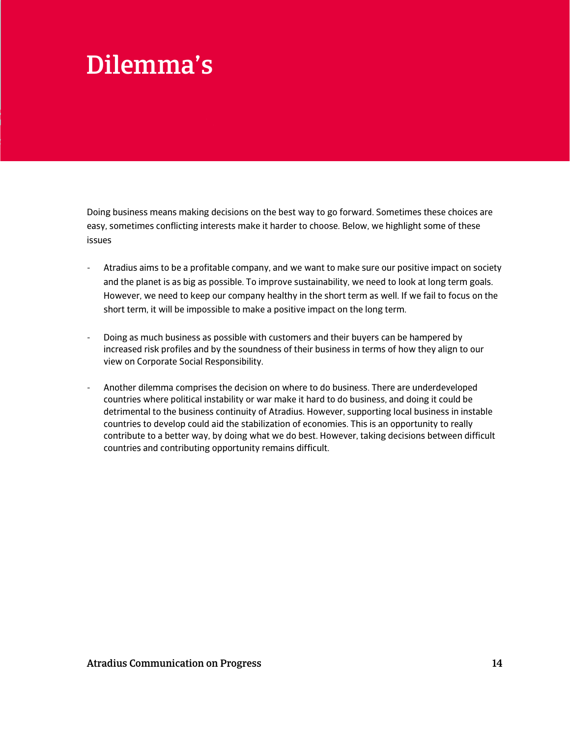# Dilemma's

Doing business means making decisions on the best way to go forward. Sometimes these choices are easy, sometimes conflicting interests make it harder to choose. Below, we highlight some of these issues

- Atradius aims to be a profitable company, and we want to make sure our positive impact on society and the planet is as big as possible. To improve sustainability, we need to look at long term goals. However, we need to keep our company healthy in the short term as well. If we fail to focus on the short term, it will be impossible to make a positive impact on the long term.
- Doing as much business as possible with customers and their buyers can be hampered by increased risk profiles and by the soundness of their business in terms of how they align to our view on Corporate Social Responsibility.
- Another dilemma comprises the decision on where to do business. There are underdeveloped countries where political instability or war make it hard to do business, and doing it could be detrimental to the business continuity of Atradius. However, supporting local business in instable countries to develop could aid the stabilization of economies. This is an opportunity to really contribute to a better way, by doing what we do best. However, taking decisions between difficult countries and contributing opportunity remains difficult.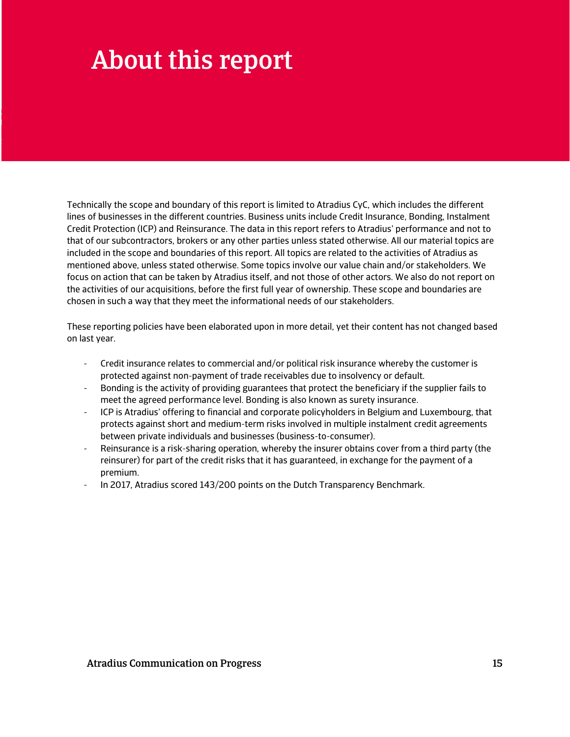# About this report

Technically the scope and boundary of this report is limited to Atradius CyC, which includes the different lines of businesses in the different countries. Business units include Credit Insurance, Bonding, Instalment Credit Protection (ICP) and Reinsurance. The data in this report refers to Atradius' performance and not to that of our subcontractors, brokers or any other parties unless stated otherwise. All our material topics are included in the scope and boundaries of this report. All topics are related to the activities of Atradius as mentioned above, unless stated otherwise. Some topics involve our value chain and/or stakeholders. We focus on action that can be taken by Atradius itself, and not those of other actors. We also do not report on the activities of our acquisitions, before the first full year of ownership. These scope and boundaries are chosen in such a way that they meet the informational needs of our stakeholders.

These reporting policies have been elaborated upon in more detail, yet their content has not changed based on last year.

- Credit insurance relates to commercial and/or political risk insurance whereby the customer is protected against non-payment of trade receivables due to insolvency or default.
- Bonding is the activity of providing guarantees that protect the beneficiary if the supplier fails to meet the agreed performance level. Bonding is also known as surety insurance.
- ICP is Atradius' offering to financial and corporate policyholders in Belgium and Luxembourg, that protects against short and medium-term risks involved in multiple instalment credit agreements between private individuals and businesses (business-to-consumer).
- Reinsurance is a risk-sharing operation, whereby the insurer obtains cover from a third party (the reinsurer) for part of the credit risks that it has guaranteed, in exchange for the payment of a premium.
- In 2017, Atradius scored 143/200 points on the Dutch Transparency Benchmark.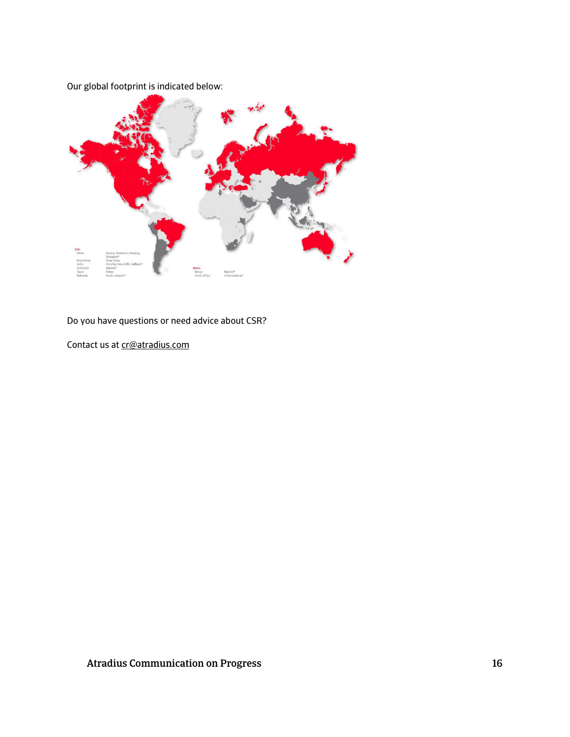

Do you have questions or need advice about CSR?

Contact us a[t cr@atradius.com](mailto:cr@atradius.com)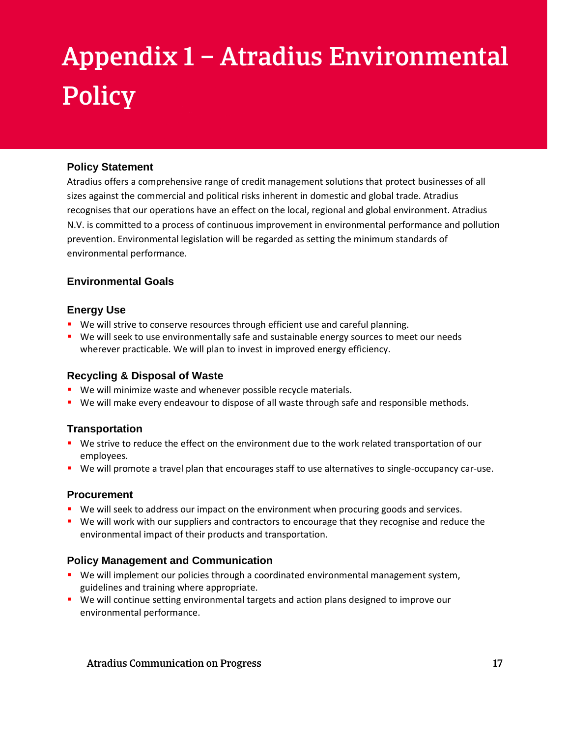# Appendix 1 – Atradius Environmental **Policy**

#### **Policy Statement**

Atradius offers a comprehensive range of credit management solutions that protect businesses of all sizes against the commercial and political risks inherent in domestic and global trade. Atradius recognises that our operations have an effect on the local, regional and global environment. Atradius N.V. is committed to a process of continuous improvement in environmental performance and pollution prevention. Environmental legislation will be regarded as setting the minimum standards of environmental performance.

#### **Environmental Goals**

#### **Energy Use**

- We will strive to conserve resources through efficient use and careful planning.
- **We will seek to use environmentally safe and sustainable energy sources to meet our needs** wherever practicable. We will plan to invest in improved energy efficiency.

#### **Recycling & Disposal of Waste**

- **We will minimize waste and whenever possible recycle materials.**
- **We will make every endeavour to dispose of all waste through safe and responsible methods.**

#### **Transportation**

- We strive to reduce the effect on the environment due to the work related transportation of our employees.
- We will promote a travel plan that encourages staff to use alternatives to single-occupancy car-use.

#### **Procurement**

- **We will seek to address our impact on the environment when procuring goods and services.**
- **•** We will work with our suppliers and contractors to encourage that they recognise and reduce the environmental impact of their products and transportation.

#### **Policy Management and Communication**

- **We will implement our policies through a coordinated environmental management system,** guidelines and training where appropriate.
- We will continue setting environmental targets and action plans designed to improve our environmental performance.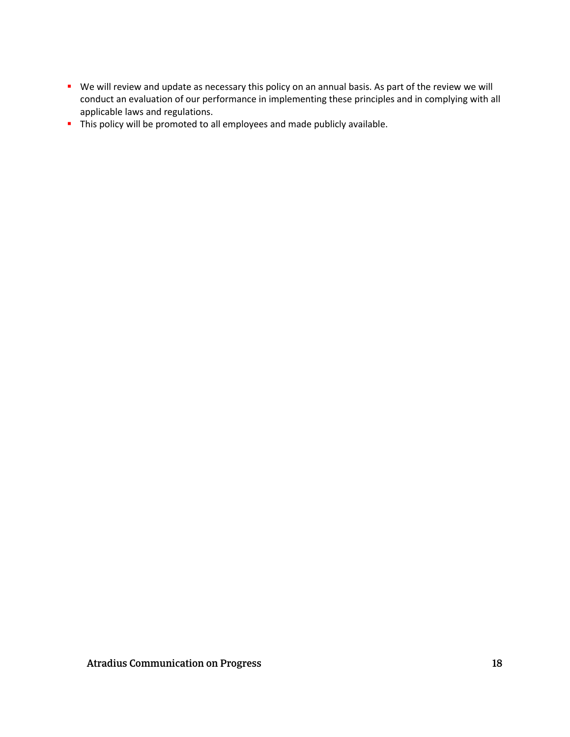- We will review and update as necessary this policy on an annual basis. As part of the review we will conduct an evaluation of our performance in implementing these principles and in complying with all applicable laws and regulations.
- This policy will be promoted to all employees and made publicly available.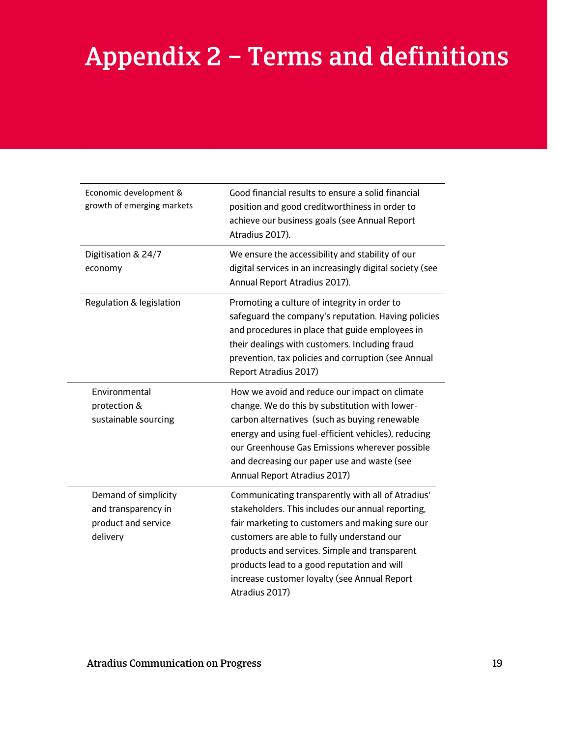# Appendix 2 – Terms and definitions

| Economic development &<br>growth of emerging markets                           | Good financial results to ensure a solid financial<br>position and good creditworthiness in order to<br>achieve our business goals (see Annual Report<br>Atradius 2017).                                                                                                                                                                                                  |
|--------------------------------------------------------------------------------|---------------------------------------------------------------------------------------------------------------------------------------------------------------------------------------------------------------------------------------------------------------------------------------------------------------------------------------------------------------------------|
| Digitisation & 24/7<br>economy                                                 | We ensure the accessibility and stability of our<br>digital services in an increasingly digital society (see<br>Annual Report Atradius 2017).                                                                                                                                                                                                                             |
| Regulation & legislation                                                       | Promoting a culture of integrity in order to<br>safeguard the company's reputation. Having policies<br>and procedures in place that guide employees in<br>their dealings with customers. Including fraud<br>prevention, tax policies and corruption (see Annual<br>Report Atradius 2017)                                                                                  |
| Environmental<br>protection &<br>sustainable sourcing                          | How we avoid and reduce our impact on climate<br>change. We do this by substitution with lower-<br>carbon alternatives (such as buying renewable<br>energy and using fuel-efficient vehicles), reducing<br>our Greenhouse Gas Emissions wherever possible<br>and decreasing our paper use and waste (see<br>Annual Report Atradius 2017)                                  |
| Demand of simplicity<br>and transparency in<br>product and service<br>delivery | Communicating transparently with all of Atradius'<br>stakeholders. This includes our annual reporting,<br>fair marketing to customers and making sure our<br>customers are able to fully understand our<br>products and services. Simple and transparent<br>products lead to a good reputation and will<br>increase customer loyalty (see Annual Report<br>Atradius 2017) |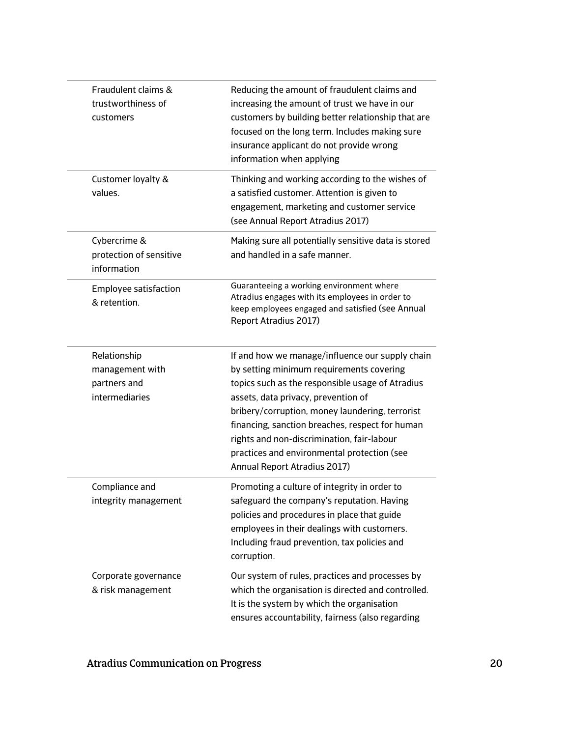| Fraudulent claims &<br>trustworthiness of<br>customers            | Reducing the amount of fraudulent claims and<br>increasing the amount of trust we have in our<br>customers by building better relationship that are<br>focused on the long term. Includes making sure<br>insurance applicant do not provide wrong<br>information when applying                                                                                                                                            |
|-------------------------------------------------------------------|---------------------------------------------------------------------------------------------------------------------------------------------------------------------------------------------------------------------------------------------------------------------------------------------------------------------------------------------------------------------------------------------------------------------------|
| Customer loyalty &<br>values.                                     | Thinking and working according to the wishes of<br>a satisfied customer. Attention is given to<br>engagement, marketing and customer service<br>(see Annual Report Atradius 2017)                                                                                                                                                                                                                                         |
| Cybercrime &<br>protection of sensitive<br>information            | Making sure all potentially sensitive data is stored<br>and handled in a safe manner.                                                                                                                                                                                                                                                                                                                                     |
| Employee satisfaction<br>& retention.                             | Guaranteeing a working environment where<br>Atradius engages with its employees in order to<br>keep employees engaged and satisfied (see Annual<br>Report Atradius 2017)                                                                                                                                                                                                                                                  |
| Relationship<br>management with<br>partners and<br>intermediaries | If and how we manage/influence our supply chain<br>by setting minimum requirements covering<br>topics such as the responsible usage of Atradius<br>assets, data privacy, prevention of<br>bribery/corruption, money laundering, terrorist<br>financing, sanction breaches, respect for human<br>rights and non-discrimination, fair-labour<br>practices and environmental protection (see<br>Annual Report Atradius 2017) |
| Compliance and<br>integrity management                            | Promoting a culture of integrity in order to<br>safeguard the company's reputation. Having<br>policies and procedures in place that guide<br>employees in their dealings with customers.<br>Including fraud prevention, tax policies and<br>corruption.                                                                                                                                                                   |
| Corporate governance<br>& risk management                         | Our system of rules, practices and processes by<br>which the organisation is directed and controlled.<br>It is the system by which the organisation<br>ensures accountability, fairness (also regarding                                                                                                                                                                                                                   |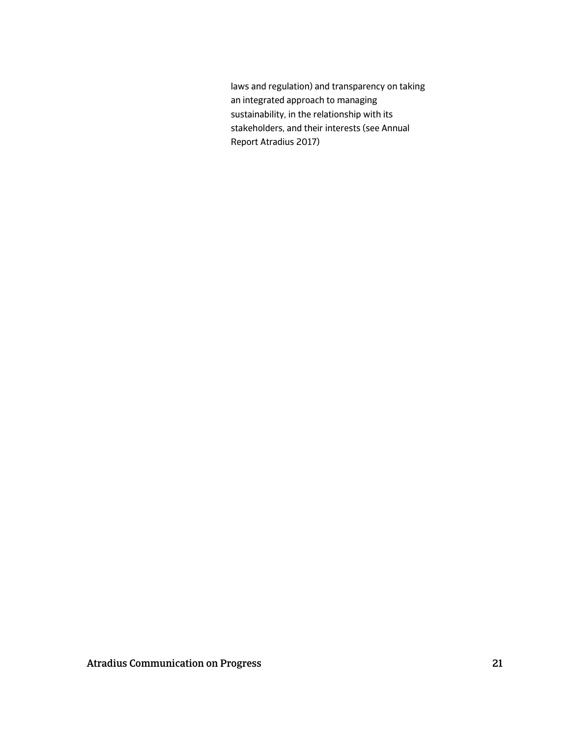laws and regulation) and transparency on taking an integrated approach to managing sustainability, in the relationship with its stakeholders, and their interests (see Annual Report Atradius 2017)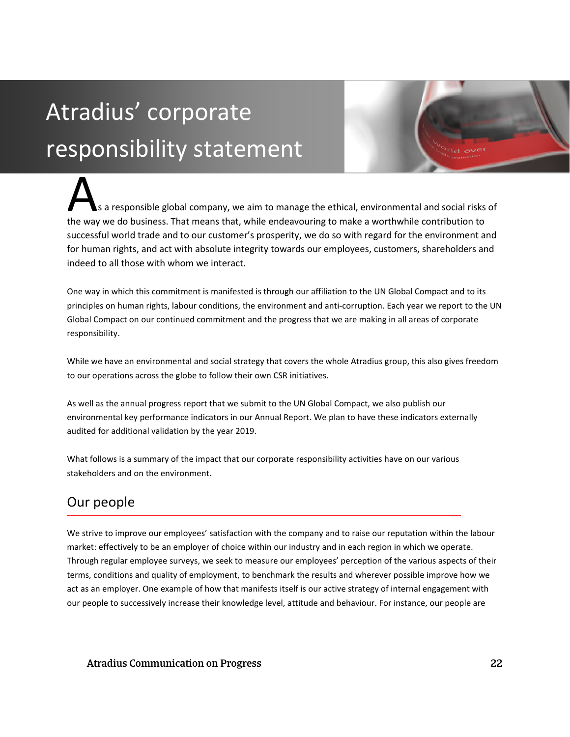# Atradius' corporate responsibility statement

s a responsible global company, we aim to manage the ethical, environmental and social risks of the way we do business. That means that, while endeavouring to make a worthwhile contribution to the way we do business. That means that, while endeavouring to make a worthwhile contribution to successful world trade and to our customer's prosperity, we do so with regard for the environment and for human rights, and act with absolute integrity towards our employees, customers, shareholders and indeed to all those with whom we interact.

One way in which this commitment is manifested is through our affiliation to the UN Global Compact and to its principles on human rights, labour conditions, the environment and anti-corruption. Each year we report to the UN Global Compact on our continued commitment and the progress that we are making in all areas of corporate responsibility.

While we have an environmental and social strategy that covers the whole Atradius group, this also gives freedom to our operations across the globe to follow their own CSR initiatives.

As well as the annual progress report that we submit to the UN Global Compact, we also publish our environmental key performance indicators in our Annual Report. We plan to have these indicators externally audited for additional validation by the year 2019.

What follows is a summary of the impact that our corporate responsibility activities have on our various stakeholders and on the environment.

## Our people

We strive to improve our employees' satisfaction with the company and to raise our reputation within the labour market: effectively to be an employer of choice within our industry and in each region in which we operate. Through regular employee surveys, we seek to measure our employees' perception of the various aspects of their terms, conditions and quality of employment, to benchmark the results and wherever possible improve how we act as an employer. One example of how that manifests itself is our active strategy of internal engagement with our people to successively increase their knowledge level, attitude and behaviour. For instance, our people are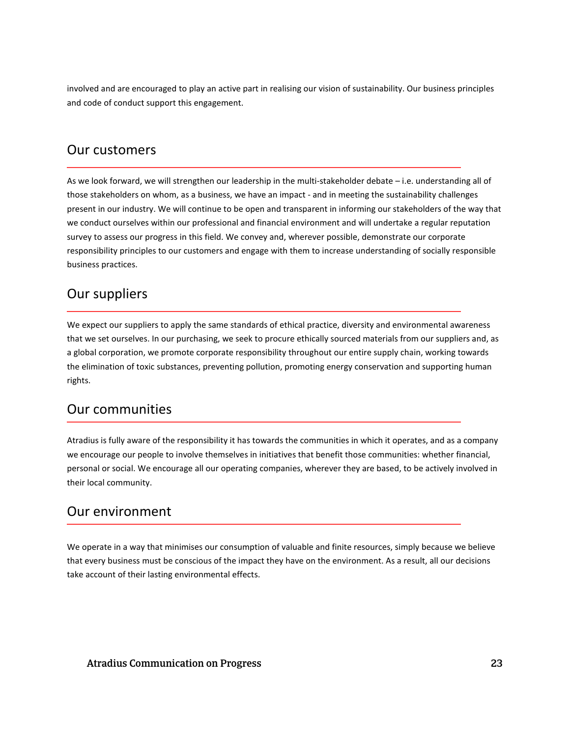involved and are encouraged to play an active part in realising our vision of sustainability. Our business principles and code of conduct support this engagement.

### Our customers

As we look forward, we will strengthen our leadership in the multi-stakeholder debate – i.e. understanding all of those stakeholders on whom, as a business, we have an impact - and in meeting the sustainability challenges present in our industry. We will continue to be open and transparent in informing our stakeholders of the way that we conduct ourselves within our professional and financial environment and will undertake a regular reputation survey to assess our progress in this field. We convey and, wherever possible, demonstrate our corporate responsibility principles to our customers and engage with them to increase understanding of socially responsible business practices.

### Our suppliers

We expect our suppliers to apply the same standards of ethical practice, diversity and environmental awareness that we set ourselves. In our purchasing, we seek to procure ethically sourced materials from our suppliers and, as a global corporation, we promote corporate responsibility throughout our entire supply chain, working towards the elimination of toxic substances, preventing pollution, promoting energy conservation and supporting human rights.

### Our communities

Atradius is fully aware of the responsibility it has towards the communities in which it operates, and as a company we encourage our people to involve themselves in initiatives that benefit those communities: whether financial, personal or social. We encourage all our operating companies, wherever they are based, to be actively involved in their local community.

### Our environment

We operate in a way that minimises our consumption of valuable and finite resources, simply because we believe that every business must be conscious of the impact they have on the environment. As a result, all our decisions take account of their lasting environmental effects.